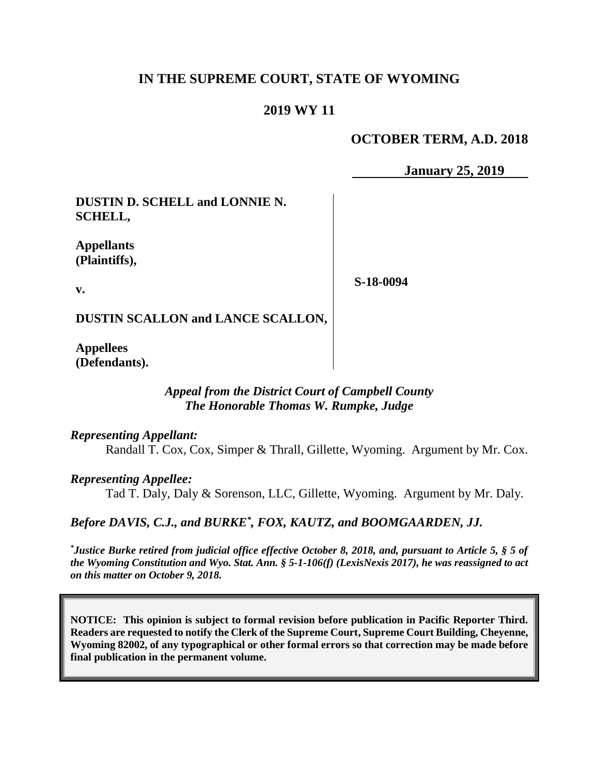### **IN THE SUPREME COURT, STATE OF WYOMING**

### **2019 WY 11**

### **OCTOBER TERM, A.D. 2018**

**January 25, 2019** 

**DUSTIN D. SCHELL and LONNIE N. SCHELL,**

**Appellants (Plaintiffs),**

**v.**

**S-18-0094**

**DUSTIN SCALLON and LANCE SCALLON,**

**Appellees (Defendants).**

#### *Appeal from the District Court of Campbell County The Honorable Thomas W. Rumpke, Judge*

*Representing Appellant:*

Randall T. Cox, Cox, Simper & Thrall, Gillette, Wyoming. Argument by Mr. Cox.

*Representing Appellee:*

Tad T. Daly, Daly & Sorenson, LLC, Gillette, Wyoming. Argument by Mr. Daly.

*Before DAVIS, C.J., and BURKE\* , FOX, KAUTZ, and BOOMGAARDEN, JJ.*

*\* Justice Burke retired from judicial office effective October 8, 2018, and, pursuant to Article 5, § 5 of the Wyoming Constitution and Wyo. Stat. Ann. § 5-1-106(f) (LexisNexis 2017), he was reassigned to act on this matter on October 9, 2018.*

**NOTICE: This opinion is subject to formal revision before publication in Pacific Reporter Third. Readers are requested to notify the Clerk of the Supreme Court, Supreme Court Building, Cheyenne, Wyoming 82002, of any typographical or other formal errors so that correction may be made before final publication in the permanent volume.**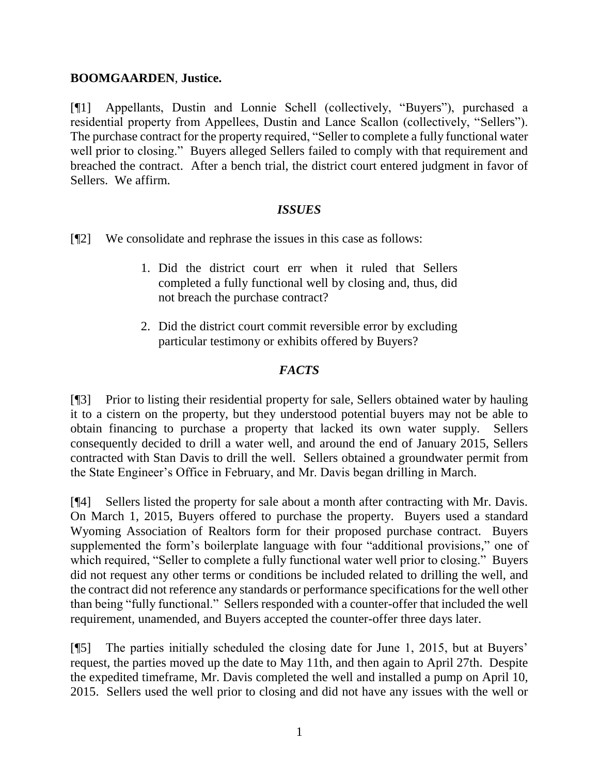#### **BOOMGAARDEN**, **Justice.**

[¶1] Appellants, Dustin and Lonnie Schell (collectively, "Buyers"), purchased a residential property from Appellees, Dustin and Lance Scallon (collectively, "Sellers"). The purchase contract for the property required, "Seller to complete a fully functional water well prior to closing." Buyers alleged Sellers failed to comply with that requirement and breached the contract. After a bench trial, the district court entered judgment in favor of Sellers. We affirm.

#### *ISSUES*

- [¶2] We consolidate and rephrase the issues in this case as follows:
	- 1. Did the district court err when it ruled that Sellers completed a fully functional well by closing and, thus, did not breach the purchase contract?
	- 2. Did the district court commit reversible error by excluding particular testimony or exhibits offered by Buyers?

### *FACTS*

[¶3] Prior to listing their residential property for sale, Sellers obtained water by hauling it to a cistern on the property, but they understood potential buyers may not be able to obtain financing to purchase a property that lacked its own water supply. Sellers consequently decided to drill a water well, and around the end of January 2015, Sellers contracted with Stan Davis to drill the well. Sellers obtained a groundwater permit from the State Engineer's Office in February, and Mr. Davis began drilling in March.

[¶4] Sellers listed the property for sale about a month after contracting with Mr. Davis. On March 1, 2015, Buyers offered to purchase the property. Buyers used a standard Wyoming Association of Realtors form for their proposed purchase contract. Buyers supplemented the form's boilerplate language with four "additional provisions," one of which required, "Seller to complete a fully functional water well prior to closing." Buyers did not request any other terms or conditions be included related to drilling the well, and the contract did not reference any standards or performance specifications for the well other than being "fully functional." Sellers responded with a counter-offer that included the well requirement, unamended, and Buyers accepted the counter-offer three days later.

[¶5] The parties initially scheduled the closing date for June 1, 2015, but at Buyers' request, the parties moved up the date to May 11th, and then again to April 27th. Despite the expedited timeframe, Mr. Davis completed the well and installed a pump on April 10, 2015. Sellers used the well prior to closing and did not have any issues with the well or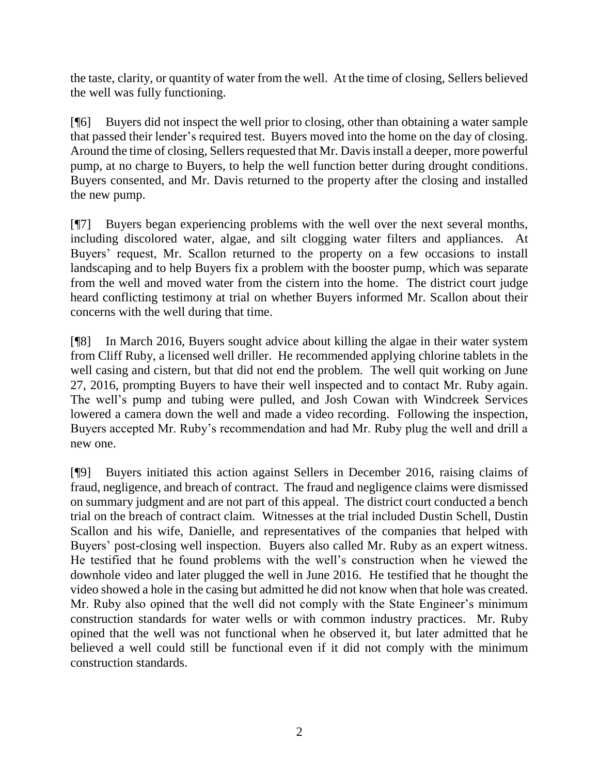the taste, clarity, or quantity of water from the well. At the time of closing, Sellers believed the well was fully functioning.

[¶6] Buyers did not inspect the well prior to closing, other than obtaining a water sample that passed their lender's required test. Buyers moved into the home on the day of closing. Around the time of closing, Sellers requested that Mr. Davis install a deeper, more powerful pump, at no charge to Buyers, to help the well function better during drought conditions. Buyers consented, and Mr. Davis returned to the property after the closing and installed the new pump.

[¶7] Buyers began experiencing problems with the well over the next several months, including discolored water, algae, and silt clogging water filters and appliances. At Buyers' request, Mr. Scallon returned to the property on a few occasions to install landscaping and to help Buyers fix a problem with the booster pump, which was separate from the well and moved water from the cistern into the home. The district court judge heard conflicting testimony at trial on whether Buyers informed Mr. Scallon about their concerns with the well during that time.

[¶8] In March 2016, Buyers sought advice about killing the algae in their water system from Cliff Ruby, a licensed well driller. He recommended applying chlorine tablets in the well casing and cistern, but that did not end the problem. The well quit working on June 27, 2016, prompting Buyers to have their well inspected and to contact Mr. Ruby again. The well's pump and tubing were pulled, and Josh Cowan with Windcreek Services lowered a camera down the well and made a video recording. Following the inspection, Buyers accepted Mr. Ruby's recommendation and had Mr. Ruby plug the well and drill a new one.

[¶9] Buyers initiated this action against Sellers in December 2016, raising claims of fraud, negligence, and breach of contract. The fraud and negligence claims were dismissed on summary judgment and are not part of this appeal. The district court conducted a bench trial on the breach of contract claim. Witnesses at the trial included Dustin Schell, Dustin Scallon and his wife, Danielle, and representatives of the companies that helped with Buyers' post-closing well inspection. Buyers also called Mr. Ruby as an expert witness. He testified that he found problems with the well's construction when he viewed the downhole video and later plugged the well in June 2016. He testified that he thought the video showed a hole in the casing but admitted he did not know when that hole was created. Mr. Ruby also opined that the well did not comply with the State Engineer's minimum construction standards for water wells or with common industry practices. Mr. Ruby opined that the well was not functional when he observed it, but later admitted that he believed a well could still be functional even if it did not comply with the minimum construction standards.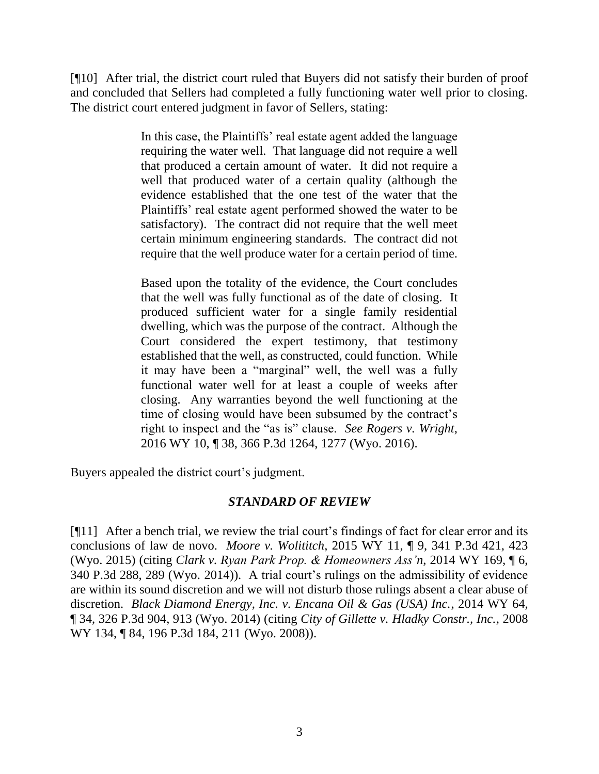[¶10] After trial, the district court ruled that Buyers did not satisfy their burden of proof and concluded that Sellers had completed a fully functioning water well prior to closing. The district court entered judgment in favor of Sellers, stating:

> In this case, the Plaintiffs' real estate agent added the language requiring the water well. That language did not require a well that produced a certain amount of water. It did not require a well that produced water of a certain quality (although the evidence established that the one test of the water that the Plaintiffs' real estate agent performed showed the water to be satisfactory). The contract did not require that the well meet certain minimum engineering standards. The contract did not require that the well produce water for a certain period of time.

> Based upon the totality of the evidence, the Court concludes that the well was fully functional as of the date of closing. It produced sufficient water for a single family residential dwelling, which was the purpose of the contract. Although the Court considered the expert testimony, that testimony established that the well, as constructed, could function. While it may have been a "marginal" well, the well was a fully functional water well for at least a couple of weeks after closing. Any warranties beyond the well functioning at the time of closing would have been subsumed by the contract's right to inspect and the "as is" clause. *See Rogers v. Wright*, 2016 WY 10, ¶ 38, 366 P.3d 1264, 1277 (Wyo. 2016).

Buyers appealed the district court's judgment.

### *STANDARD OF REVIEW*

[¶11] After a bench trial, we review the trial court's findings of fact for clear error and its conclusions of law de novo. *Moore v. Wolititch*, 2015 WY 11, ¶ 9, 341 P.3d 421, 423 (Wyo. 2015) (citing *Clark v. Ryan Park Prop. & Homeowners Ass'n*, 2014 WY 169, ¶ 6, 340 P.3d 288, 289 (Wyo. 2014)). A trial court's rulings on the admissibility of evidence are within its sound discretion and we will not disturb those rulings absent a clear abuse of discretion. *Black Diamond Energy, Inc. v. Encana Oil & Gas (USA) Inc.*, 2014 WY 64, ¶ 34, 326 P.3d 904, 913 (Wyo. 2014) (citing *City of Gillette v. Hladky Constr., Inc.*, 2008 WY 134, ¶ 84, 196 P.3d 184, 211 (Wyo. 2008)).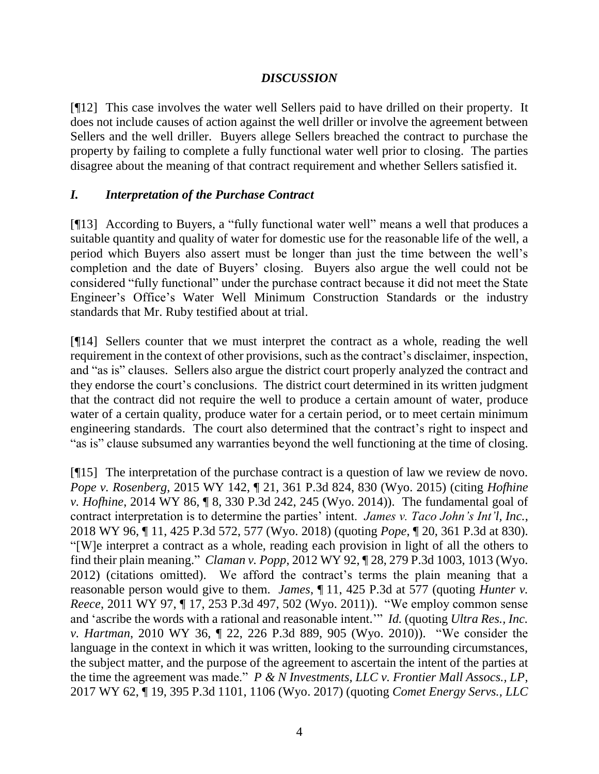### *DISCUSSION*

[¶12] This case involves the water well Sellers paid to have drilled on their property. It does not include causes of action against the well driller or involve the agreement between Sellers and the well driller. Buyers allege Sellers breached the contract to purchase the property by failing to complete a fully functional water well prior to closing. The parties disagree about the meaning of that contract requirement and whether Sellers satisfied it.

### *I. Interpretation of the Purchase Contract*

[¶13] According to Buyers, a "fully functional water well" means a well that produces a suitable quantity and quality of water for domestic use for the reasonable life of the well, a period which Buyers also assert must be longer than just the time between the well's completion and the date of Buyers' closing. Buyers also argue the well could not be considered "fully functional" under the purchase contract because it did not meet the State Engineer's Office's Water Well Minimum Construction Standards or the industry standards that Mr. Ruby testified about at trial.

[¶14] Sellers counter that we must interpret the contract as a whole, reading the well requirement in the context of other provisions, such as the contract's disclaimer, inspection, and "as is" clauses. Sellers also argue the district court properly analyzed the contract and they endorse the court's conclusions. The district court determined in its written judgment that the contract did not require the well to produce a certain amount of water, produce water of a certain quality, produce water for a certain period, or to meet certain minimum engineering standards. The court also determined that the contract's right to inspect and "as is" clause subsumed any warranties beyond the well functioning at the time of closing.

[¶15] The interpretation of the purchase contract is a question of law we review de novo. *Pope v. Rosenberg*, 2015 WY 142, ¶ 21, 361 P.3d 824, 830 (Wyo. 2015) (citing *Hofhine v. Hofhine*, 2014 WY 86, ¶ 8, 330 P.3d 242, 245 (Wyo. 2014)). The fundamental goal of contract interpretation is to determine the parties' intent. *James v. Taco John's Int'l, Inc.*, 2018 WY 96, ¶ 11, 425 P.3d 572, 577 (Wyo. 2018) (quoting *Pope*, ¶ 20, 361 P.3d at 830). "[W]e interpret a contract as a whole, reading each provision in light of all the others to find their plain meaning." *Claman v. Popp*, 2012 WY 92, ¶ 28, 279 P.3d 1003, 1013 (Wyo. 2012) (citations omitted). We afford the contract's terms the plain meaning that a reasonable person would give to them. *James*, ¶ 11, 425 P.3d at 577 (quoting *Hunter v. Reece*, 2011 WY 97, ¶ 17, 253 P.3d 497, 502 (Wyo. 2011)). "We employ common sense and 'ascribe the words with a rational and reasonable intent.'" *Id.* (quoting *Ultra Res., Inc. v. Hartman*, 2010 WY 36, ¶ 22, 226 P.3d 889, 905 (Wyo. 2010)). "We consider the language in the context in which it was written, looking to the surrounding circumstances, the subject matter, and the purpose of the agreement to ascertain the intent of the parties at the time the agreement was made." *P & N Investments, LLC v. Frontier Mall Assocs., LP*, 2017 WY 62, ¶ 19, 395 P.3d 1101, 1106 (Wyo. 2017) (quoting *Comet Energy Servs., LLC*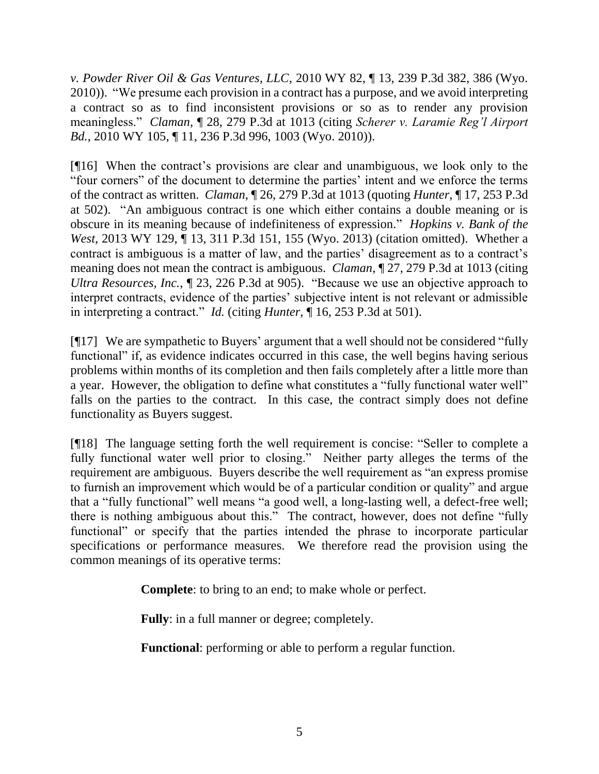*v. Powder River Oil & Gas Ventures, LLC*, 2010 WY 82, ¶ 13, 239 P.3d 382, 386 (Wyo. 2010)). "We presume each provision in a contract has a purpose, and we avoid interpreting a contract so as to find inconsistent provisions or so as to render any provision meaningless." *Claman*, ¶ 28, 279 P.3d at 1013 (citing *Scherer v. Laramie Reg'l Airport Bd.*, 2010 WY 105, ¶ 11, 236 P.3d 996, 1003 (Wyo. 2010)).

[¶16] When the contract's provisions are clear and unambiguous, we look only to the "four corners" of the document to determine the parties' intent and we enforce the terms of the contract as written. *Claman*, ¶ 26, 279 P.3d at 1013 (quoting *Hunter*, ¶ 17, 253 P.3d at 502). "An ambiguous contract is one which either contains a double meaning or is obscure in its meaning because of indefiniteness of expression." *Hopkins v. Bank of the West*, 2013 WY 129, ¶ 13, 311 P.3d 151, 155 (Wyo. 2013) (citation omitted). Whether a contract is ambiguous is a matter of law, and the parties' disagreement as to a contract's meaning does not mean the contract is ambiguous. *Claman*, ¶ 27, 279 P.3d at 1013 (citing *Ultra Resources, Inc.*, ¶ 23, 226 P.3d at 905). "Because we use an objective approach to interpret contracts, evidence of the parties' subjective intent is not relevant or admissible in interpreting a contract." *Id.* (citing *Hunter*, ¶ 16, 253 P.3d at 501).

[¶17] We are sympathetic to Buyers' argument that a well should not be considered "fully functional" if, as evidence indicates occurred in this case, the well begins having serious problems within months of its completion and then fails completely after a little more than a year. However, the obligation to define what constitutes a "fully functional water well" falls on the parties to the contract. In this case, the contract simply does not define functionality as Buyers suggest.

[¶18] The language setting forth the well requirement is concise: "Seller to complete a fully functional water well prior to closing." Neither party alleges the terms of the requirement are ambiguous. Buyers describe the well requirement as "an express promise to furnish an improvement which would be of a particular condition or quality" and argue that a "fully functional" well means "a good well, a long-lasting well, a defect-free well; there is nothing ambiguous about this." The contract, however, does not define "fully functional" or specify that the parties intended the phrase to incorporate particular specifications or performance measures. We therefore read the provision using the common meanings of its operative terms:

**Complete**: to bring to an end; to make whole or perfect.

**Fully**: in a full manner or degree; completely.

**Functional**: performing or able to perform a regular function.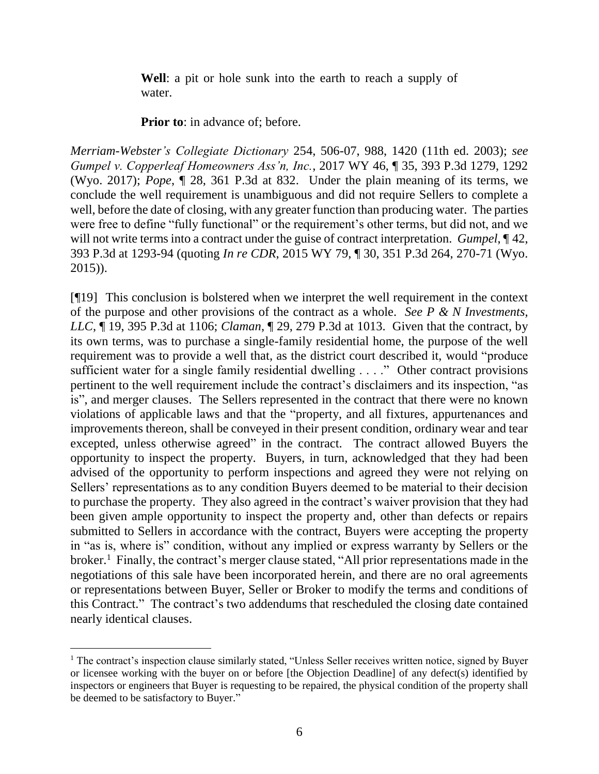**Well**: a pit or hole sunk into the earth to reach a supply of water.

**Prior to:** in advance of; before.

*Merriam-Webster's Collegiate Dictionary* 254, 506-07, 988, 1420 (11th ed. 2003); *see Gumpel v. Copperleaf Homeowners Ass'n, Inc.*, 2017 WY 46, ¶ 35, 393 P.3d 1279, 1292 (Wyo. 2017); *Pope*, ¶ 28, 361 P.3d at 832. Under the plain meaning of its terms, we conclude the well requirement is unambiguous and did not require Sellers to complete a well, before the date of closing, with any greater function than producing water. The parties were free to define "fully functional" or the requirement's other terms, but did not, and we will not write terms into a contract under the guise of contract interpretation. *Gumpel*, ¶ 42, 393 P.3d at 1293-94 (quoting *In re CDR*, 2015 WY 79, ¶ 30, 351 P.3d 264, 270-71 (Wyo. 2015)).

[¶19] This conclusion is bolstered when we interpret the well requirement in the context of the purpose and other provisions of the contract as a whole. *See P & N Investments, LLC*, ¶ 19, 395 P.3d at 1106; *Claman*, ¶ 29, 279 P.3d at 1013. Given that the contract, by its own terms, was to purchase a single-family residential home, the purpose of the well requirement was to provide a well that, as the district court described it, would "produce sufficient water for a single family residential dwelling . . . ." Other contract provisions pertinent to the well requirement include the contract's disclaimers and its inspection, "as is", and merger clauses. The Sellers represented in the contract that there were no known violations of applicable laws and that the "property, and all fixtures, appurtenances and improvements thereon, shall be conveyed in their present condition, ordinary wear and tear excepted, unless otherwise agreed" in the contract. The contract allowed Buyers the opportunity to inspect the property. Buyers, in turn, acknowledged that they had been advised of the opportunity to perform inspections and agreed they were not relying on Sellers' representations as to any condition Buyers deemed to be material to their decision to purchase the property. They also agreed in the contract's waiver provision that they had been given ample opportunity to inspect the property and, other than defects or repairs submitted to Sellers in accordance with the contract, Buyers were accepting the property in "as is, where is" condition, without any implied or express warranty by Sellers or the broker.<sup>1</sup> Finally, the contract's merger clause stated, "All prior representations made in the negotiations of this sale have been incorporated herein, and there are no oral agreements or representations between Buyer, Seller or Broker to modify the terms and conditions of this Contract." The contract's two addendums that rescheduled the closing date contained nearly identical clauses.

 $\overline{a}$ <sup>1</sup> The contract's inspection clause similarly stated, "Unless Seller receives written notice, signed by Buyer or licensee working with the buyer on or before [the Objection Deadline] of any defect(s) identified by inspectors or engineers that Buyer is requesting to be repaired, the physical condition of the property shall be deemed to be satisfactory to Buyer."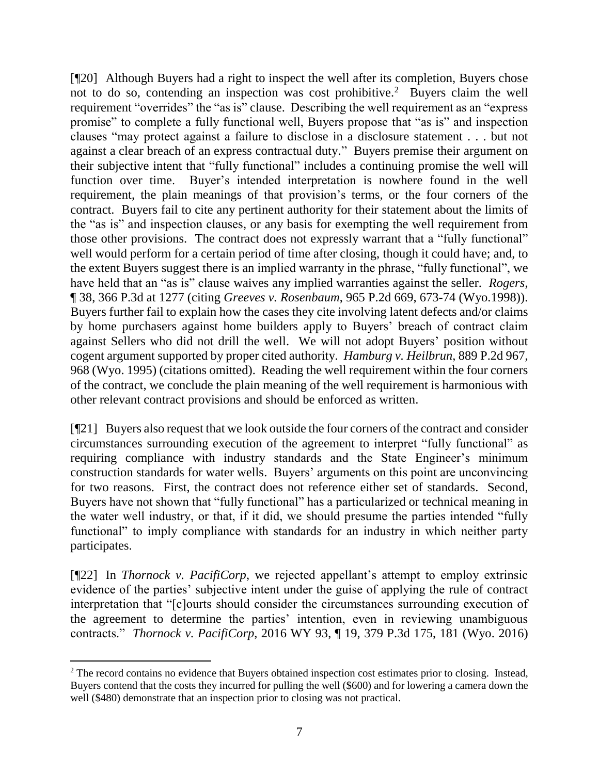[¶20] Although Buyers had a right to inspect the well after its completion, Buyers chose not to do so, contending an inspection was cost prohibitive.<sup>2</sup> Buyers claim the well requirement "overrides" the "as is" clause. Describing the well requirement as an "express promise" to complete a fully functional well, Buyers propose that "as is" and inspection clauses "may protect against a failure to disclose in a disclosure statement . . . but not against a clear breach of an express contractual duty." Buyers premise their argument on their subjective intent that "fully functional" includes a continuing promise the well will function over time. Buyer's intended interpretation is nowhere found in the well requirement, the plain meanings of that provision's terms, or the four corners of the contract. Buyers fail to cite any pertinent authority for their statement about the limits of the "as is" and inspection clauses, or any basis for exempting the well requirement from those other provisions. The contract does not expressly warrant that a "fully functional" well would perform for a certain period of time after closing, though it could have; and, to the extent Buyers suggest there is an implied warranty in the phrase, "fully functional", we have held that an "as is" clause waives any implied warranties against the seller. *Rogers*, ¶ 38, 366 P.3d at 1277 (citing *Greeves v. Rosenbaum*, 965 P.2d 669, 673-74 (Wyo.1998)). Buyers further fail to explain how the cases they cite involving latent defects and/or claims by home purchasers against home builders apply to Buyers' breach of contract claim against Sellers who did not drill the well. We will not adopt Buyers' position without cogent argument supported by proper cited authority. *Hamburg v. Heilbrun*, 889 P.2d 967, 968 (Wyo. 1995) (citations omitted). Reading the well requirement within the four corners of the contract, we conclude the plain meaning of the well requirement is harmonious with other relevant contract provisions and should be enforced as written.

[¶21] Buyers also request that we look outside the four corners of the contract and consider circumstances surrounding execution of the agreement to interpret "fully functional" as requiring compliance with industry standards and the State Engineer's minimum construction standards for water wells. Buyers' arguments on this point are unconvincing for two reasons. First, the contract does not reference either set of standards. Second, Buyers have not shown that "fully functional" has a particularized or technical meaning in the water well industry, or that, if it did, we should presume the parties intended "fully functional" to imply compliance with standards for an industry in which neither party participates.

[¶22] In *Thornock v. PacifiCorp*, we rejected appellant's attempt to employ extrinsic evidence of the parties' subjective intent under the guise of applying the rule of contract interpretation that "[c]ourts should consider the circumstances surrounding execution of the agreement to determine the parties' intention, even in reviewing unambiguous contracts." *Thornock v. PacifiCorp*, 2016 WY 93, ¶ 19, 379 P.3d 175, 181 (Wyo. 2016)

 $\overline{a}$ <sup>2</sup> The record contains no evidence that Buyers obtained inspection cost estimates prior to closing. Instead, Buyers contend that the costs they incurred for pulling the well (\$600) and for lowering a camera down the well (\$480) demonstrate that an inspection prior to closing was not practical.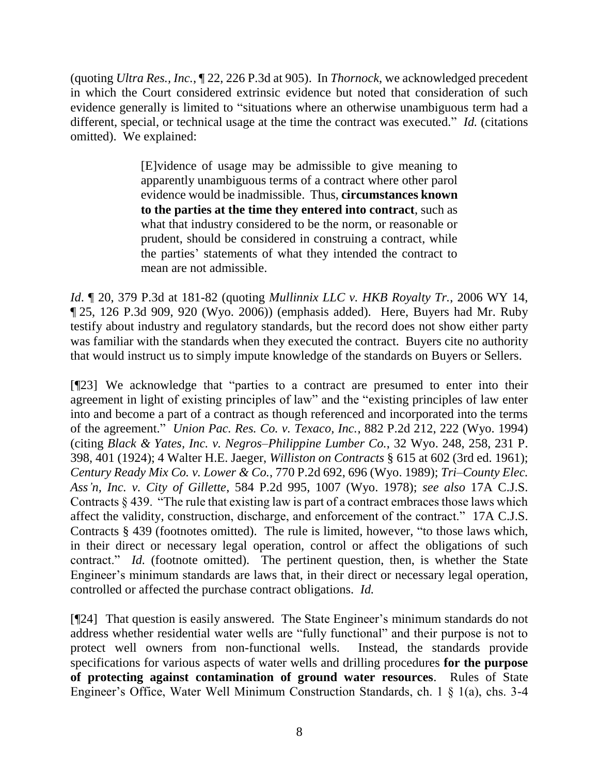(quoting *Ultra Res., Inc.*, ¶ 22, 226 P.3d at 905). In *Thornock*, we acknowledged precedent in which the Court considered extrinsic evidence but noted that consideration of such evidence generally is limited to "situations where an otherwise unambiguous term had a different, special, or technical usage at the time the contract was executed." *Id.* (citations omitted). We explained:

> [E]vidence of usage may be admissible to give meaning to apparently unambiguous terms of a contract where other parol evidence would be inadmissible. Thus, **circumstances known to the parties at the time they entered into contract**, such as what that industry considered to be the norm, or reasonable or prudent, should be considered in construing a contract, while the parties' statements of what they intended the contract to mean are not admissible.

*Id*. ¶ 20, 379 P.3d at 181-82 (quoting *Mullinnix LLC v. HKB Royalty Tr.*, 2006 WY 14, ¶ 25, 126 P.3d 909, 920 (Wyo. 2006)) (emphasis added). Here, Buyers had Mr. Ruby testify about industry and regulatory standards, but the record does not show either party was familiar with the standards when they executed the contract. Buyers cite no authority that would instruct us to simply impute knowledge of the standards on Buyers or Sellers.

[¶23] We acknowledge that "parties to a contract are presumed to enter into their agreement in light of existing principles of law" and the "existing principles of law enter into and become a part of a contract as though referenced and incorporated into the terms of the agreement." *Union Pac. Res. Co. v. Texaco, Inc.*, 882 P.2d 212, 222 (Wyo. 1994) (citing *Black & Yates, Inc. v. Negros–Philippine Lumber Co.*, 32 Wyo. 248, 258, 231 P. 398, 401 (1924); 4 Walter H.E. Jaeger, *Williston on Contracts* § 615 at 602 (3rd ed. 1961); *Century Ready Mix Co. v. Lower & Co.*, 770 P.2d 692, 696 (Wyo. 1989); *Tri–County Elec. Ass'n, Inc. v. City of Gillette*, 584 P.2d 995, 1007 (Wyo. 1978); *see also* 17A C.J.S. Contracts § 439. "The rule that existing law is part of a contract embraces those laws which affect the validity, construction, discharge, and enforcement of the contract." 17A C.J.S. Contracts § 439 (footnotes omitted). The rule is limited, however, "to those laws which, in their direct or necessary legal operation, control or affect the obligations of such contract." *Id.* (footnote omitted). The pertinent question, then, is whether the State Engineer's minimum standards are laws that, in their direct or necessary legal operation, controlled or affected the purchase contract obligations. *Id.*

[¶24] That question is easily answered. The State Engineer's minimum standards do not address whether residential water wells are "fully functional" and their purpose is not to protect well owners from non-functional wells. Instead, the standards provide specifications for various aspects of water wells and drilling procedures **for the purpose of protecting against contamination of ground water resources**. Rules of State Engineer's Office, Water Well Minimum Construction Standards, ch. 1 § 1(a), chs. 3-4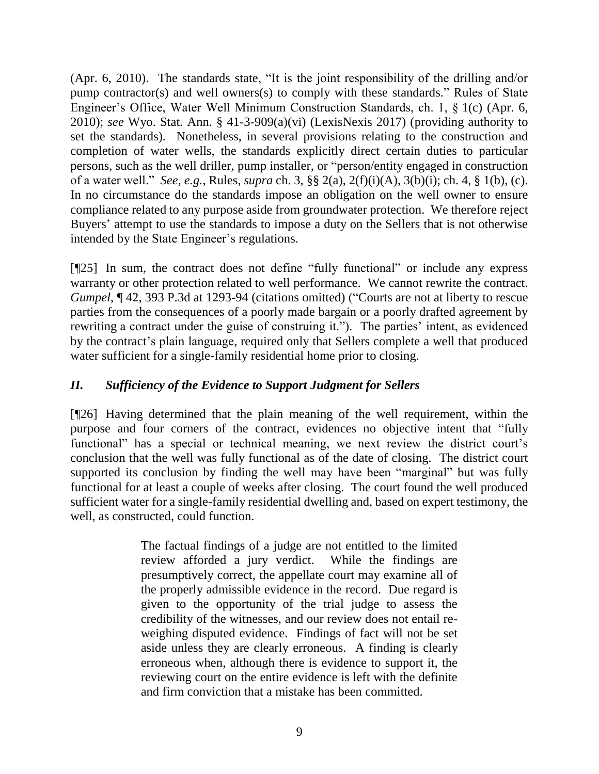(Apr. 6, 2010). The standards state, "It is the joint responsibility of the drilling and/or pump contractor(s) and well owners(s) to comply with these standards." Rules of State Engineer's Office, Water Well Minimum Construction Standards, ch. 1, § 1(c) (Apr. 6, 2010); *see* Wyo. Stat. Ann. § 41-3-909(a)(vi) (LexisNexis 2017) (providing authority to set the standards). Nonetheless, in several provisions relating to the construction and completion of water wells, the standards explicitly direct certain duties to particular persons, such as the well driller, pump installer, or "person/entity engaged in construction of a water well." *See, e.g.*, Rules, *supra* ch. 3, §§ 2(a), 2(f)(i)(A), 3(b)(i); ch. 4, § 1(b), (c). In no circumstance do the standards impose an obligation on the well owner to ensure compliance related to any purpose aside from groundwater protection. We therefore reject Buyers' attempt to use the standards to impose a duty on the Sellers that is not otherwise intended by the State Engineer's regulations.

[¶25] In sum, the contract does not define "fully functional" or include any express warranty or other protection related to well performance. We cannot rewrite the contract. *Gumpel*, ¶ 42, 393 P.3d at 1293-94 (citations omitted) ("Courts are not at liberty to rescue parties from the consequences of a poorly made bargain or a poorly drafted agreement by rewriting a contract under the guise of construing it."). The parties' intent, as evidenced by the contract's plain language, required only that Sellers complete a well that produced water sufficient for a single-family residential home prior to closing.

## *II. Sufficiency of the Evidence to Support Judgment for Sellers*

[¶26] Having determined that the plain meaning of the well requirement, within the purpose and four corners of the contract, evidences no objective intent that "fully functional" has a special or technical meaning, we next review the district court's conclusion that the well was fully functional as of the date of closing. The district court supported its conclusion by finding the well may have been "marginal" but was fully functional for at least a couple of weeks after closing. The court found the well produced sufficient water for a single-family residential dwelling and, based on expert testimony, the well, as constructed, could function.

> The factual findings of a judge are not entitled to the limited review afforded a jury verdict. While the findings are presumptively correct, the appellate court may examine all of the properly admissible evidence in the record. Due regard is given to the opportunity of the trial judge to assess the credibility of the witnesses, and our review does not entail reweighing disputed evidence. Findings of fact will not be set aside unless they are clearly erroneous. A finding is clearly erroneous when, although there is evidence to support it, the reviewing court on the entire evidence is left with the definite and firm conviction that a mistake has been committed.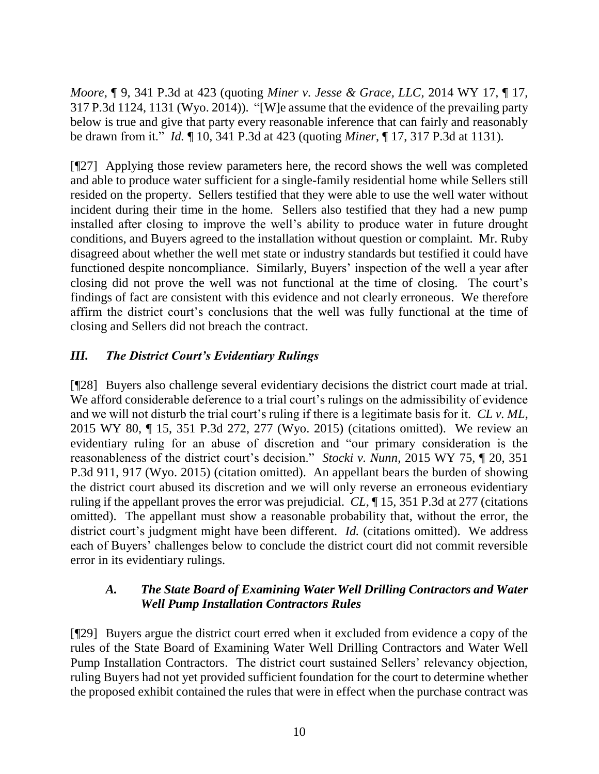*Moore*, ¶ 9, 341 P.3d at 423 (quoting *Miner v. Jesse & Grace, LLC*, 2014 WY 17, ¶ 17, 317 P.3d 1124, 1131 (Wyo. 2014)). "[W]e assume that the evidence of the prevailing party below is true and give that party every reasonable inference that can fairly and reasonably be drawn from it." *Id.* ¶ 10, 341 P.3d at 423 (quoting *Miner*, ¶ 17, 317 P.3d at 1131).

[¶27] Applying those review parameters here, the record shows the well was completed and able to produce water sufficient for a single-family residential home while Sellers still resided on the property. Sellers testified that they were able to use the well water without incident during their time in the home. Sellers also testified that they had a new pump installed after closing to improve the well's ability to produce water in future drought conditions, and Buyers agreed to the installation without question or complaint. Mr. Ruby disagreed about whether the well met state or industry standards but testified it could have functioned despite noncompliance. Similarly, Buyers' inspection of the well a year after closing did not prove the well was not functional at the time of closing. The court's findings of fact are consistent with this evidence and not clearly erroneous. We therefore affirm the district court's conclusions that the well was fully functional at the time of closing and Sellers did not breach the contract.

## *III. The District Court's Evidentiary Rulings*

[¶28] Buyers also challenge several evidentiary decisions the district court made at trial. We afford considerable deference to a trial court's rulings on the admissibility of evidence and we will not disturb the trial court's ruling if there is a legitimate basis for it. *CL v. ML*, 2015 WY 80, ¶ 15, 351 P.3d 272, 277 (Wyo. 2015) (citations omitted). We review an evidentiary ruling for an abuse of discretion and "our primary consideration is the reasonableness of the district court's decision." *Stocki v. Nunn*, 2015 WY 75, ¶ 20, 351 P.3d 911, 917 (Wyo. 2015) (citation omitted). An appellant bears the burden of showing the district court abused its discretion and we will only reverse an erroneous evidentiary ruling if the appellant proves the error was prejudicial. *CL*, ¶ 15, 351 P.3d at 277 (citations omitted). The appellant must show a reasonable probability that, without the error, the district court's judgment might have been different. *Id.* (citations omitted). We address each of Buyers' challenges below to conclude the district court did not commit reversible error in its evidentiary rulings.

### *A. The State Board of Examining Water Well Drilling Contractors and Water Well Pump Installation Contractors Rules*

[¶29] Buyers argue the district court erred when it excluded from evidence a copy of the rules of the State Board of Examining Water Well Drilling Contractors and Water Well Pump Installation Contractors. The district court sustained Sellers' relevancy objection, ruling Buyers had not yet provided sufficient foundation for the court to determine whether the proposed exhibit contained the rules that were in effect when the purchase contract was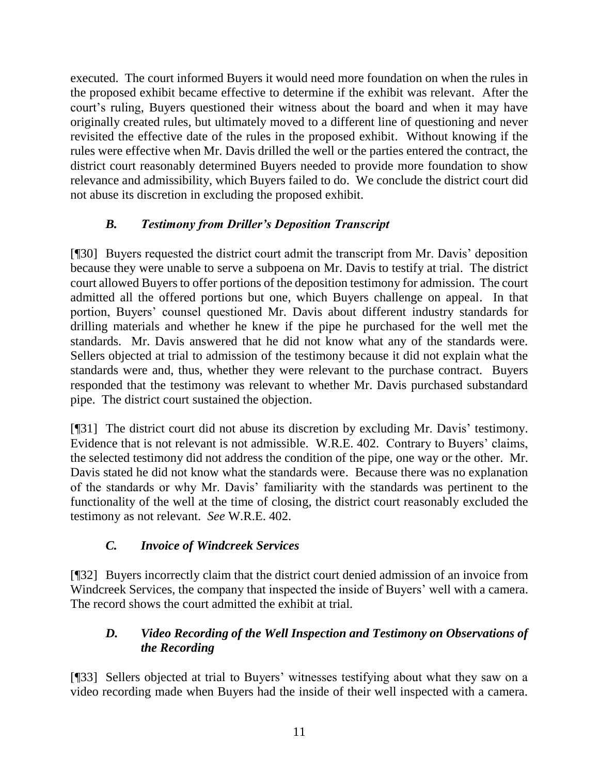executed. The court informed Buyers it would need more foundation on when the rules in the proposed exhibit became effective to determine if the exhibit was relevant. After the court's ruling, Buyers questioned their witness about the board and when it may have originally created rules, but ultimately moved to a different line of questioning and never revisited the effective date of the rules in the proposed exhibit. Without knowing if the rules were effective when Mr. Davis drilled the well or the parties entered the contract, the district court reasonably determined Buyers needed to provide more foundation to show relevance and admissibility, which Buyers failed to do. We conclude the district court did not abuse its discretion in excluding the proposed exhibit.

## *B. Testimony from Driller's Deposition Transcript*

[¶30] Buyers requested the district court admit the transcript from Mr. Davis' deposition because they were unable to serve a subpoena on Mr. Davis to testify at trial. The district court allowed Buyers to offer portions of the deposition testimony for admission. The court admitted all the offered portions but one, which Buyers challenge on appeal. In that portion, Buyers' counsel questioned Mr. Davis about different industry standards for drilling materials and whether he knew if the pipe he purchased for the well met the standards. Mr. Davis answered that he did not know what any of the standards were. Sellers objected at trial to admission of the testimony because it did not explain what the standards were and, thus, whether they were relevant to the purchase contract. Buyers responded that the testimony was relevant to whether Mr. Davis purchased substandard pipe. The district court sustained the objection.

[¶31] The district court did not abuse its discretion by excluding Mr. Davis' testimony. Evidence that is not relevant is not admissible. W.R.E. 402. Contrary to Buyers' claims, the selected testimony did not address the condition of the pipe, one way or the other. Mr. Davis stated he did not know what the standards were. Because there was no explanation of the standards or why Mr. Davis' familiarity with the standards was pertinent to the functionality of the well at the time of closing, the district court reasonably excluded the testimony as not relevant. *See* W.R.E. 402.

# *C. Invoice of Windcreek Services*

[¶32] Buyers incorrectly claim that the district court denied admission of an invoice from Windcreek Services, the company that inspected the inside of Buyers' well with a camera. The record shows the court admitted the exhibit at trial.

# *D. Video Recording of the Well Inspection and Testimony on Observations of the Recording*

[¶33] Sellers objected at trial to Buyers' witnesses testifying about what they saw on a video recording made when Buyers had the inside of their well inspected with a camera.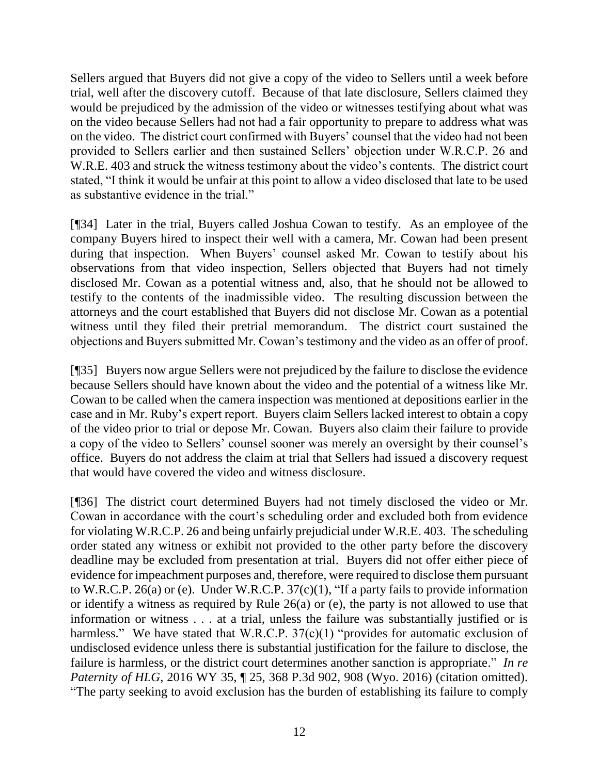Sellers argued that Buyers did not give a copy of the video to Sellers until a week before trial, well after the discovery cutoff. Because of that late disclosure, Sellers claimed they would be prejudiced by the admission of the video or witnesses testifying about what was on the video because Sellers had not had a fair opportunity to prepare to address what was on the video. The district court confirmed with Buyers' counsel that the video had not been provided to Sellers earlier and then sustained Sellers' objection under W.R.C.P. 26 and W.R.E. 403 and struck the witness testimony about the video's contents. The district court stated, "I think it would be unfair at this point to allow a video disclosed that late to be used as substantive evidence in the trial."

[¶34] Later in the trial, Buyers called Joshua Cowan to testify. As an employee of the company Buyers hired to inspect their well with a camera, Mr. Cowan had been present during that inspection. When Buyers' counsel asked Mr. Cowan to testify about his observations from that video inspection, Sellers objected that Buyers had not timely disclosed Mr. Cowan as a potential witness and, also, that he should not be allowed to testify to the contents of the inadmissible video. The resulting discussion between the attorneys and the court established that Buyers did not disclose Mr. Cowan as a potential witness until they filed their pretrial memorandum. The district court sustained the objections and Buyers submitted Mr. Cowan's testimony and the video as an offer of proof.

[¶35] Buyers now argue Sellers were not prejudiced by the failure to disclose the evidence because Sellers should have known about the video and the potential of a witness like Mr. Cowan to be called when the camera inspection was mentioned at depositions earlier in the case and in Mr. Ruby's expert report. Buyers claim Sellers lacked interest to obtain a copy of the video prior to trial or depose Mr. Cowan. Buyers also claim their failure to provide a copy of the video to Sellers' counsel sooner was merely an oversight by their counsel's office. Buyers do not address the claim at trial that Sellers had issued a discovery request that would have covered the video and witness disclosure.

[¶36] The district court determined Buyers had not timely disclosed the video or Mr. Cowan in accordance with the court's scheduling order and excluded both from evidence for violating W.R.C.P. 26 and being unfairly prejudicial under W.R.E. 403. The scheduling order stated any witness or exhibit not provided to the other party before the discovery deadline may be excluded from presentation at trial. Buyers did not offer either piece of evidence for impeachment purposes and, therefore, were required to disclose them pursuant to W.R.C.P. 26(a) or (e). Under W.R.C.P. 37(c)(1), "If a party fails to provide information or identify a witness as required by Rule 26(a) or (e), the party is not allowed to use that information or witness . . . at a trial, unless the failure was substantially justified or is harmless." We have stated that W.R.C.P. 37(c)(1) "provides for automatic exclusion of undisclosed evidence unless there is substantial justification for the failure to disclose, the failure is harmless, or the district court determines another sanction is appropriate." *In re Paternity of HLG*, 2016 WY 35, ¶ 25, 368 P.3d 902, 908 (Wyo. 2016) (citation omitted). "The party seeking to avoid exclusion has the burden of establishing its failure to comply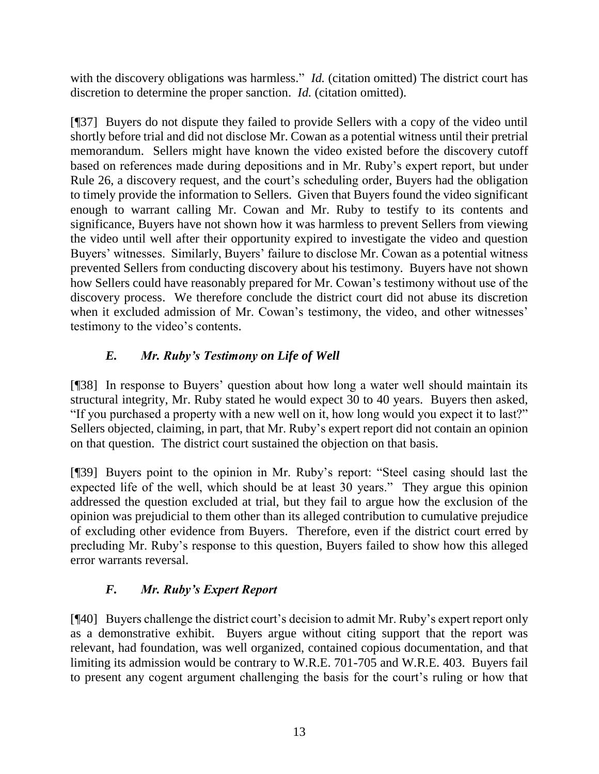with the discovery obligations was harmless." *Id.* (citation omitted) The district court has discretion to determine the proper sanction. *Id.* (citation omitted).

[¶37] Buyers do not dispute they failed to provide Sellers with a copy of the video until shortly before trial and did not disclose Mr. Cowan as a potential witness until their pretrial memorandum. Sellers might have known the video existed before the discovery cutoff based on references made during depositions and in Mr. Ruby's expert report, but under Rule 26, a discovery request, and the court's scheduling order, Buyers had the obligation to timely provide the information to Sellers. Given that Buyers found the video significant enough to warrant calling Mr. Cowan and Mr. Ruby to testify to its contents and significance, Buyers have not shown how it was harmless to prevent Sellers from viewing the video until well after their opportunity expired to investigate the video and question Buyers' witnesses. Similarly, Buyers' failure to disclose Mr. Cowan as a potential witness prevented Sellers from conducting discovery about his testimony. Buyers have not shown how Sellers could have reasonably prepared for Mr. Cowan's testimony without use of the discovery process. We therefore conclude the district court did not abuse its discretion when it excluded admission of Mr. Cowan's testimony, the video, and other witnesses' testimony to the video's contents.

# *E. Mr. Ruby's Testimony on Life of Well*

[¶38] In response to Buyers' question about how long a water well should maintain its structural integrity, Mr. Ruby stated he would expect 30 to 40 years. Buyers then asked, "If you purchased a property with a new well on it, how long would you expect it to last?" Sellers objected, claiming, in part, that Mr. Ruby's expert report did not contain an opinion on that question. The district court sustained the objection on that basis.

[¶39] Buyers point to the opinion in Mr. Ruby's report: "Steel casing should last the expected life of the well, which should be at least 30 years." They argue this opinion addressed the question excluded at trial, but they fail to argue how the exclusion of the opinion was prejudicial to them other than its alleged contribution to cumulative prejudice of excluding other evidence from Buyers. Therefore, even if the district court erred by precluding Mr. Ruby's response to this question, Buyers failed to show how this alleged error warrants reversal.

# *F. Mr. Ruby's Expert Report*

[¶40] Buyers challenge the district court's decision to admit Mr. Ruby's expert report only as a demonstrative exhibit. Buyers argue without citing support that the report was relevant, had foundation, was well organized, contained copious documentation, and that limiting its admission would be contrary to W.R.E. 701-705 and W.R.E. 403. Buyers fail to present any cogent argument challenging the basis for the court's ruling or how that